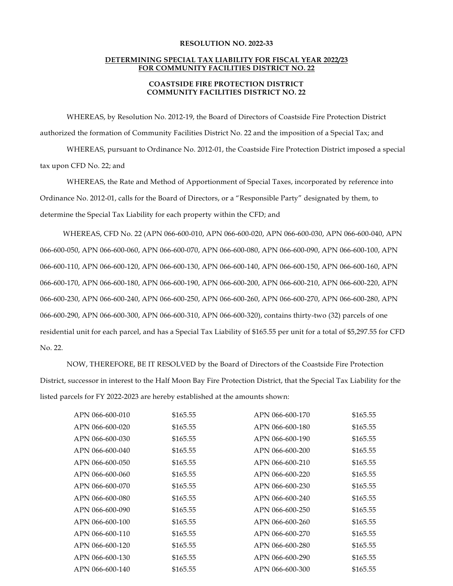## **RESOLUTION NO. 2022-33**

## **DETERMINING SPECIAL TAX LIABILITY FOR FISCAL YEAR 2022/23 FOR COMMUNITY FACILITIES DISTRICT NO. 22**

## **COASTSIDE FIRE PROTECTION DISTRICT COMMUNITY FACILITIES DISTRICT NO. 22**

WHEREAS, by Resolution No. 2012-19, the Board of Directors of Coastside Fire Protection District authorized the formation of Community Facilities District No. 22 and the imposition of a Special Tax; and

WHEREAS, pursuant to Ordinance No. 2012-01, the Coastside Fire Protection District imposed a special tax upon CFD No. 22; and

WHEREAS, the Rate and Method of Apportionment of Special Taxes, incorporated by reference into Ordinance No. 2012-01, calls for the Board of Directors, or a "Responsible Party" designated by them, to determine the Special Tax Liability for each property within the CFD; and

WHEREAS, CFD No. 22 (APN 066-600-010, APN 066-600-020, APN 066-600-030, APN 066-600-040, APN 066-600-050, APN 066-600-060, APN 066-600-070, APN 066-600-080, APN 066-600-090, APN 066-600-100, APN 066-600-110, APN 066-600-120, APN 066-600-130, APN 066-600-140, APN 066-600-150, APN 066-600-160, APN 066-600-170, APN 066-600-180, APN 066-600-190, APN 066-600-200, APN 066-600-210, APN 066-600-220, APN 066-600-230, APN 066-600-240, APN 066-600-250, APN 066-600-260, APN 066-600-270, APN 066-600-280, APN 066-600-290, APN 066-600-300, APN 066-600-310, APN 066-600-320), contains thirty-two (32) parcels of one residential unit for each parcel, and has a Special Tax Liability of \$165.55 per unit for a total of \$5,297.55 for CFD No. 22.

NOW, THEREFORE, BE IT RESOLVED by the Board of Directors of the Coastside Fire Protection District, successor in interest to the Half Moon Bay Fire Protection District, that the Special Tax Liability for the listed parcels for FY 2022-2023 are hereby established at the amounts shown:

| APN 066-600-010 | \$165.55 | APN 066-600-170 | \$165.55 |
|-----------------|----------|-----------------|----------|
| APN 066-600-020 | \$165.55 | APN 066-600-180 | \$165.55 |
| APN 066-600-030 | \$165.55 | APN 066-600-190 | \$165.55 |
| APN 066-600-040 | \$165.55 | APN 066-600-200 | \$165.55 |
| APN 066-600-050 | \$165.55 | APN 066-600-210 | \$165.55 |
| APN 066-600-060 | \$165.55 | APN 066-600-220 | \$165.55 |
| APN 066-600-070 | \$165.55 | APN 066-600-230 | \$165.55 |
| APN 066-600-080 | \$165.55 | APN 066-600-240 | \$165.55 |
| APN 066-600-090 | \$165.55 | APN 066-600-250 | \$165.55 |
| APN 066-600-100 | \$165.55 | APN 066-600-260 | \$165.55 |
| APN 066-600-110 | \$165.55 | APN 066-600-270 | \$165.55 |
| APN 066-600-120 | \$165.55 | APN 066-600-280 | \$165.55 |
| APN 066-600-130 | \$165.55 | APN 066-600-290 | \$165.55 |
| APN 066-600-140 | \$165.55 | APN 066-600-300 | \$165.55 |